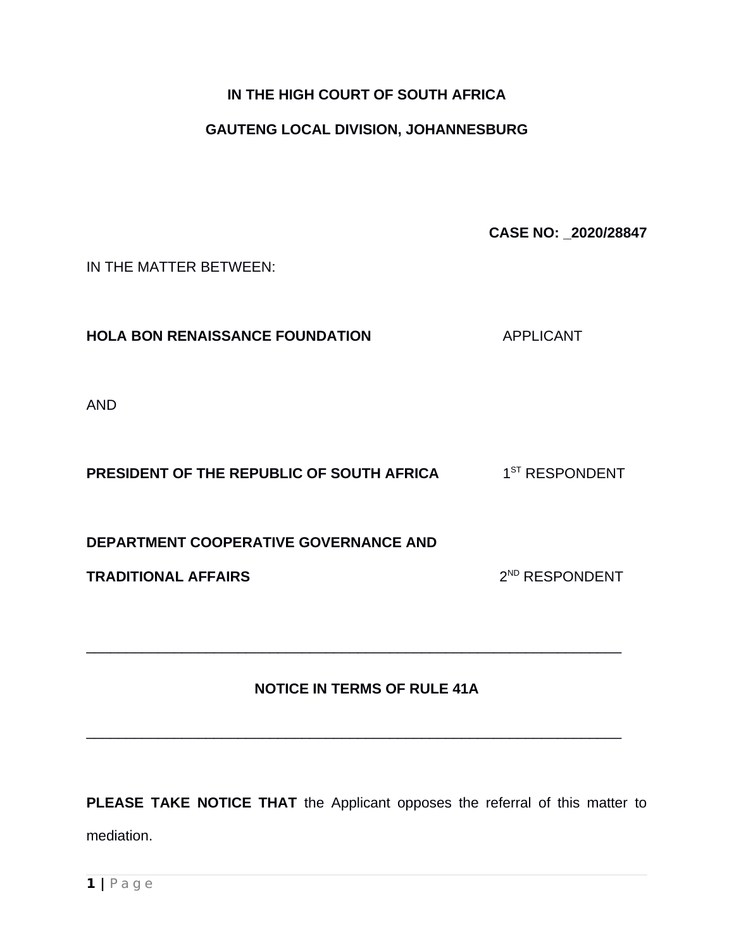## **IN THE HIGH COURT OF SOUTH AFRICA**

## **GAUTENG LOCAL DIVISION, JOHANNESBURG**

**CASE NO: \_2020/28847**

IN THE MATTER BETWEEN:

**HOLA BON RENAISSANCE FOUNDATION** APPLICANT

AND

**PRESIDENT OF THE REPUBLIC OF SOUTH AFRICA**  $1^{\text{ST}}$  **RESPONDENT** 

**DEPARTMENT COOPERATIVE GOVERNANCE AND** 

**TRADITIONAL AFFAIRS** 2

2<sup>ND</sup> RESPONDENT

## **NOTICE IN TERMS OF RULE 41A**

 $\mathcal{L}_\text{max}$  , and the contribution of the contribution of the contribution of the contribution of the contribution of the contribution of the contribution of the contribution of the contribution of the contribution of t

 $\mathcal{L}_\text{max}$  , and the contribution of the contribution of the contribution of the contribution of the contribution of the contribution of the contribution of the contribution of the contribution of the contribution of t

**PLEASE TAKE NOTICE THAT** the Applicant opposes the referral of this matter to mediation.